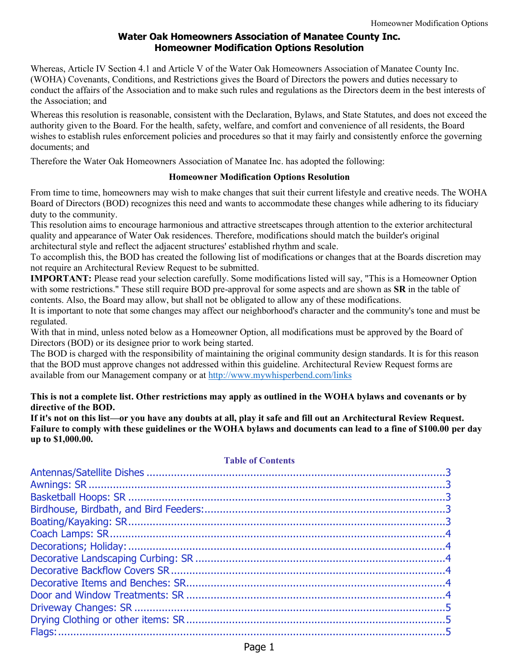# **Water Oak Homeowners Association of Manatee County Inc. Homeowner Modification Options Resolution**

Whereas, Article IV Section 4.1 and Article V of the Water Oak Homeowners Association of Manatee County Inc. (WOHA) Covenants, Conditions, and Restrictions gives the Board of Directors the powers and duties necessary to conduct the affairs of the Association and to make such rules and regulations as the Directors deem in the best interests of the Association; and

Whereas this resolution is reasonable, consistent with the Declaration, Bylaws, and State Statutes, and does not exceed the authority given to the Board. For the health, safety, welfare, and comfort and convenience of all residents, the Board wishes to establish rules enforcement policies and procedures so that it may fairly and consistently enforce the governing documents; and

Therefore the Water Oak Homeowners Association of Manatee Inc. has adopted the following:

#### **Homeowner Modification Options Resolution**

From time to time, homeowners may wish to make changes that suit their current lifestyle and creative needs. The WOHA Board of Directors (BOD) recognizes this need and wants to accommodate these changes while adhering to its fiduciary duty to the community.

This resolution aims to encourage harmonious and attractive streetscapes through attention to the exterior architectural quality and appearance of Water Oak residences. Therefore, modifications should match the builder's original architectural style and reflect the adjacent structures' established rhythm and scale.

To accomplish this, the BOD has created the following list of modifications or changes that at the Boards discretion may not require an Architectural Review Request to be submitted.

**IMPORTANT:** Please read your selection carefully. Some modifications listed will say, "This is a Homeowner Option with some restrictions." These still require BOD pre-approval for some aspects and are shown as **SR** in the table of contents. Also, the Board may allow, but shall not be obligated to allow any of these modifications.

It is important to note that some changes may affect our neighborhood's character and the community's tone and must be regulated.

With that in mind, unless noted below as a Homeowner Option, all modifications must be approved by the Board of Directors (BOD) or its designee prior to work being started.

The BOD is charged with the responsibility of maintaining the original community design standards. It is for this reason that the BOD must approve changes not addressed within this guideline. Architectural Review Request forms are available from our Management company or at<http://www.mywhisperbend.com/links>

**This is not a complete list. Other restrictions may apply as outlined in the WOHA bylaws and covenants or by directive of the BOD.**

**If it's not on this list—or you have any doubts at all, play it safe and fill out an Architectural Review Request. Failure to comply with these guidelines or the WOHA bylaws and documents can lead to a fine of \$100.00 per day up to \$1,000.00.**

#### **Table of Contents**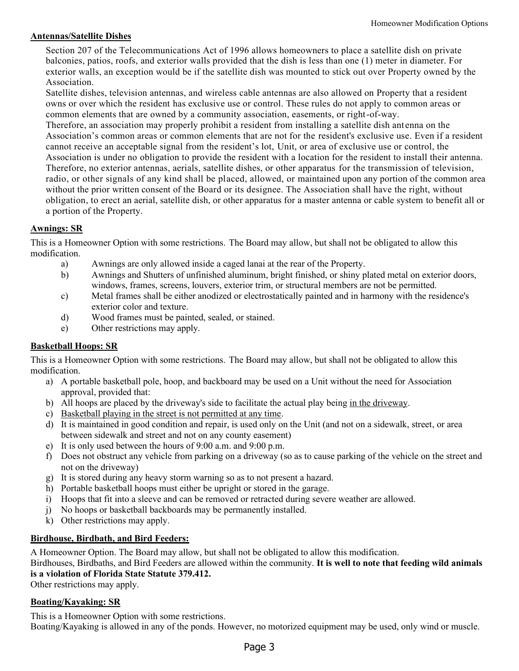#### <span id="page-2-0"></span>**Antennas/Satellite Dishes**

<span id="page-2-5"></span>Section 207 of the Telecommunications Act of 1996 allows homeowners to place a satellite dish on private balconies, patios, roofs, and exterior walls provided that the dish is less than one (1) meter in diameter. For exterior walls, an exception would be if the satellite dish was mounted to stick out over Property owned by the Association.

Satellite dishes, television antennas, and wireless cable antennas are also allowed on Property that a resident owns or over which the resident has exclusive use or control. These rules do not apply to common areas or common elements that are owned by a community association, easements, or right-of-way.

Therefore, an association may properly prohibit a resident from installing a satellite dish ant enna on the Association's common areas or common elements that are not for the resident's exclusive use. Even if a resident cannot receive an acceptable signal from the resident's lot, Unit, or area of exclusive use or control, the Association is under no obligation to provide the resident with a location for the resident to install their antenna. Therefore, no exterior antennas, aerials, satellite dishes, or other apparatus for the transmission of television, radio, or other signals of any kind shall be placed, allowed, or maintained upon any portion of the common area without the prior written consent of the Board or its designee. The Association shall have the right, without obligation, to erect an aerial, satellite dish, or other apparatus for a master antenna or cable system to benefit all or a portion of the Property.

# <span id="page-2-1"></span>**Awnings: SR**

This is a Homeowner Option with some restrictions. The Board may allow, but shall not be obligated to allow this modification.

- a) Awnings are only allowed inside a caged lanai at the rear of the Property.
- b) Awnings and Shutters of unfinished aluminum, bright finished, or shiny plated metal on exterior doors, windows, frames, screens, louvers, exterior trim, or structural members are not be permitted.
- c) Metal frames shall be either anodized or electrostatically painted and in harmony with the residence's exterior color and texture.
- d) Wood frames must be painted, sealed, or stained.
- e) Other restrictions may apply.

# <span id="page-2-2"></span>**Basketball Hoops: SR**

This is a Homeowner Option with some restrictions. The Board may allow, but shall not be obligated to allow this modification.

- a) A portable basketball pole, hoop, and backboard may be used on a Unit without the need for Association approval, provided that:
- b) All hoops are placed by the driveway's side to facilitate the actual play being in the driveway.
- c) Basketball playing in the street is not permitted at any time.
- d) It is maintained in good condition and repair, is used only on the Unit (and not on a sidewalk, street, or area between sidewalk and street and not on any county easement)
- e) It is only used between the hours of 9:00 a.m. and 9:00 p.m.
- f) Does not obstruct any vehicle from parking on a driveway (so as to cause parking of the vehicle on the street and not on the driveway)
- g) It is stored during any heavy storm warning so as to not present a hazard.
- h) Portable basketball hoops must either be upright or stored in the garage.
- i) Hoops that fit into a sleeve and can be removed or retracted during severe weather are allowed.
- j) No hoops or basketball backboards may be permanently installed.
- k) Other restrictions may apply.

# <span id="page-2-3"></span>**Birdhouse, Birdbath, and Bird Feeders:**

A Homeowner Option. The Board may allow, but shall not be obligated to allow this modification.

#### Birdhouses, Birdbaths, and Bird Feeders are allowed within the community. **It is well to note that feeding wild animals is a violation of Florida State Statute 379.412.**

Other restrictions may apply.

# <span id="page-2-4"></span>**Boating/Kayaking: SR**

This is a Homeowner Option with some restrictions.

Boating/Kayaking is allowed in any of the ponds. However, no motorized equipment may be used, only wind or muscle.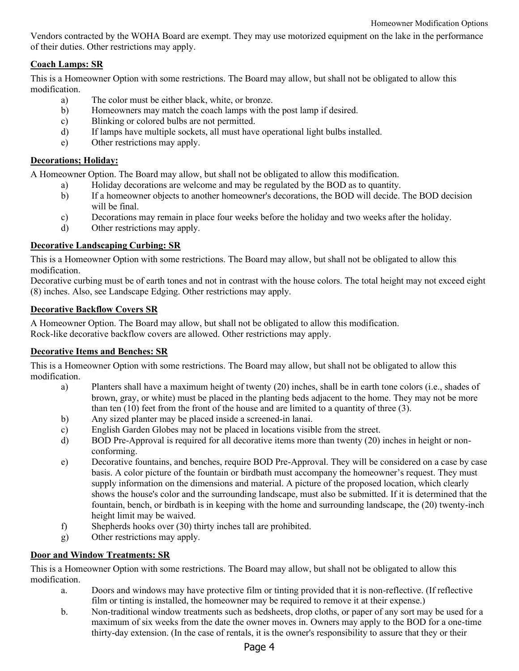Vendors contracted by the WOHA Board are exempt. They may use motorized equipment on the lake in the performance of their duties. Other restrictions may apply.

# <span id="page-3-0"></span>**Coach Lamps: SR**

This is a Homeowner Option with some restrictions. The Board may allow, but shall not be obligated to allow this modification.

- a) The color must be either black, white, or bronze.
- b) Homeowners may match the coach lamps with the post lamp if desired.
- c) Blinking or colored bulbs are not permitted.
- d) If lamps have multiple sockets, all must have operational light bulbs installed.
- e) Other restrictions may apply.

# <span id="page-3-1"></span>**Decorations; Holiday:**

A Homeowner Option. The Board may allow, but shall not be obligated to allow this modification.

- a) Holiday decorations are welcome and may be regulated by the BOD as to quantity.
- b) If a homeowner objects to another homeowner's decorations, the BOD will decide. The BOD decision will be final.
- c) Decorations may remain in place four weeks before the holiday and two weeks after the holiday.
- <span id="page-3-6"></span>d) Other restrictions may apply.

# <span id="page-3-2"></span>**Decorative Landscaping Curbing: SR**

This is a Homeowner Option with some restrictions. The Board may allow, but shall not be obligated to allow this modification.

Decorative curbing must be of earth tones and not in contrast with the house colors. The total height may not exceed eight (8) inches. Also, see Landscape Edging. Other restrictions may apply.

# <span id="page-3-3"></span>**Decorative Backflow Covers SR**

A Homeowner Option. The Board may allow, but shall not be obligated to allow this modification. Rock-like decorative backflow covers are allowed. Other restrictions may apply.

# <span id="page-3-4"></span>**Decorative Items and Benches: SR**

This is a Homeowner Option with some restrictions. The Board may allow, but shall not be obligated to allow this modification.

- a) Planters shall have a maximum height of twenty (20) inches, shall be in earth tone colors (i.e., shades of brown, gray, or white) must be placed in the planting beds adjacent to the home. They may not be more than ten (10) feet from the front of the house and are limited to a quantity of three (3).
- b) Any sized planter may be placed inside a screened-in lanai.
- c) English Garden Globes may not be placed in locations visible from the street.
- d) BOD Pre-Approval is required for all decorative items more than twenty (20) inches in height or nonconforming.
- e) Decorative fountains, and benches, require BOD Pre-Approval. They will be considered on a case by case basis. A color picture of the fountain or birdbath must accompany the homeowner's request. They must supply information on the dimensions and material. A picture of the proposed location, which clearly shows the house's color and the surrounding landscape, must also be submitted. If it is determined that the fountain, bench, or birdbath is in keeping with the home and surrounding landscape, the (20) twenty-inch height limit may be waived.
- f) Shepherds hooks over (30) thirty inches tall are prohibited.
- <span id="page-3-7"></span>g) Other restrictions may apply.

# <span id="page-3-5"></span>**Door and Window Treatments: SR**

- a. Doors and windows may have protective film or tinting provided that it is non-reflective. (If reflective film or tinting is installed, the homeowner may be required to remove it at their expense.)
- b. Non-traditional window treatments such as bedsheets, drop cloths, or paper of any sort may be used for a maximum of six weeks from the date the owner moves in. Owners may apply to the BOD for a one-time thirty-day extension. (In the case of rentals, it is the owner's responsibility to assure that they or their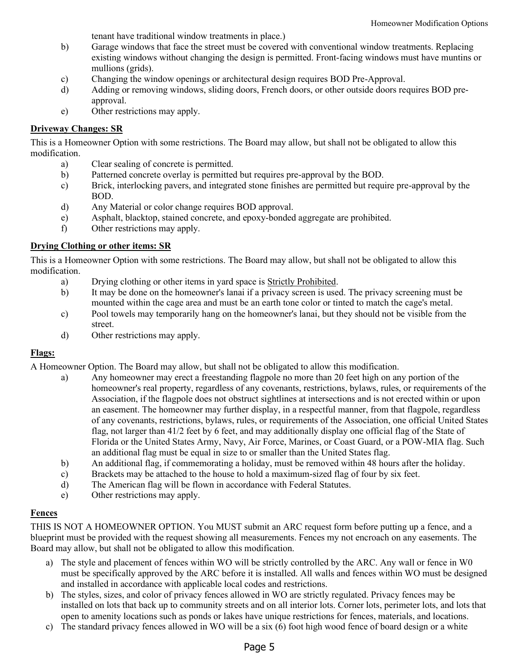tenant have traditional window treatments in place.)

- b) Garage windows that face the street must be covered with conventional window treatments. Replacing existing windows without changing the design is permitted. Front-facing windows must have muntins or mullions (grids).
- c) Changing the window openings or architectural design requires BOD Pre-Approval.
- d) Adding or removing windows, sliding doors, French doors, or other outside doors requires BOD preapproval.
- e) Other restrictions may apply.

### <span id="page-4-0"></span>**Driveway Changes: SR**

This is a Homeowner Option with some restrictions. The Board may allow, but shall not be obligated to allow this modification.

- a) Clear sealing of concrete is permitted.
- b) Patterned concrete overlay is permitted but requires pre-approval by the BOD.
- c) Brick, interlocking pavers, and integrated stone finishes are permitted but require pre-approval by the BOD.
- d) Any Material or color change requires BOD approval.
- e) Asphalt, blacktop, stained concrete, and epoxy-bonded aggregate are prohibited.
- f) Other restrictions may apply.

### <span id="page-4-1"></span>**Drying Clothing or other items: SR**

This is a Homeowner Option with some restrictions. The Board may allow, but shall not be obligated to allow this modification.

- a) Drying clothing or other items in yard space is Strictly Prohibited.
- b) It may be done on the homeowner's lanai if a privacy screen is used. The privacy screening must be mounted within the cage area and must be an earth tone color or tinted to match the cage's metal.
- c) Pool towels may temporarily hang on the homeowner's lanai, but they should not be visible from the street.
- d) Other restrictions may apply.

# <span id="page-4-2"></span>**Flags:**

A Homeowner Option. The Board may allow, but shall not be obligated to allow this modification.

- a) Any homeowner may erect a freestanding flagpole no more than 20 feet high on any portion of the homeowner's real property, regardless of any covenants, restrictions, bylaws, rules, or requirements of the Association, if the flagpole does not obstruct sightlines at intersections and is not erected within or upon an easement. The homeowner may further display, in a respectful manner, from that flagpole, regardless of any covenants, restrictions, bylaws, rules, or requirements of the Association, one official United States flag, not larger than 41/2 feet by 6 feet, and may additionally display one official flag of the State of Florida or the United States Army, Navy, Air Force, Marines, or Coast Guard, or a POW-MIA flag. Such an additional flag must be equal in size to or smaller than the United States flag.
- b) An additional flag, if commemorating a holiday, must be removed within 48 hours after the holiday.
- c) Brackets may be attached to the house to hold a maximum-sized flag of four by six feet.
- d) The American flag will be flown in accordance with Federal Statutes.
- <span id="page-4-4"></span>e) Other restrictions may apply.

# <span id="page-4-3"></span>**Fences**

THIS IS NOT A HOMEOWNER OPTION. You MUST submit an ARC request form before putting up a fence, and a blueprint must be provided with the request showing all measurements. Fences my not encroach on any easements. The Board may allow, but shall not be obligated to allow this modification.

- a) The style and placement of fences within WO will be strictly controlled by the ARC. Any wall or fence in W0 must be specifically approved by the ARC before it is installed. All walls and fences within WO must be designed and installed in accordance with applicable local codes and restrictions.
- b) The styles, sizes, and color of privacy fences allowed in WO are strictly regulated. Privacy fences may be installed on lots that back up to community streets and on all interior lots. Corner lots, perimeter lots, and lots that open to amenity locations such as ponds or lakes have unique restrictions for fences, materials, and locations.
- c) The standard privacy fences allowed in WO will be a six (6) foot high wood fence of board design or a white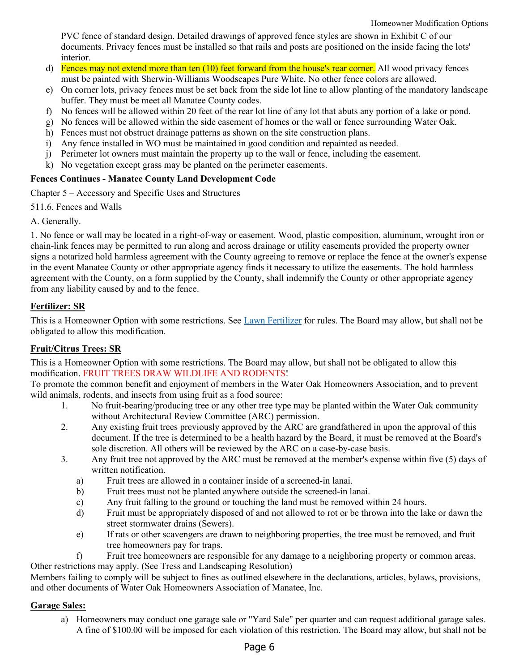PVC fence of standard design. Detailed drawings of approved fence styles are shown in Exhibit C of our documents. Privacy fences must be installed so that rails and posts are positioned on the inside facing the lots' interior.

- d) Fences may not extend more than ten (10) feet forward from the house's rear corner. All wood privacy fences must be painted with Sherwin-Williams Woodscapes Pure White. No other fence colors are allowed.
- e) On corner lots, privacy fences must be set back from the side lot line to allow planting of the mandatory landscape buffer. They must be meet all Manatee County codes.
- f) No fences will be allowed within 20 feet of the rear lot line of any lot that abuts any portion of a lake or pond.
- g) No fences will be allowed within the side easement of homes or the wall or fence surrounding Water Oak.
- h) Fences must not obstruct drainage patterns as shown on the site construction plans.
- i) Any fence installed in WO must be maintained in good condition and repainted as needed.
- j) Perimeter lot owners must maintain the property up to the wall or fence, including the easement.
- k) No vegetation except grass may be planted on the perimeter easements.

### **Fences Continues - Manatee County Land Development Code**

Chapter 5 – Accessory and Specific Uses and Structures

511.6. Fences and Walls

A. Generally.

1. No fence or wall may be located in a right-of-way or easement. Wood, plastic composition, aluminum, wrought iron or chain-link fences may be permitted to run along and across drainage or utility easements provided the property owner signs a notarized hold harmless agreement with the County agreeing to remove or replace the fence at the owner's expense in the event Manatee County or other appropriate agency finds it necessary to utilize the easements. The hold harmless agreement with the County, on a form supplied by the County, shall indemnify the County or other appropriate agency from any liability caused by and to the fence.

# <span id="page-5-0"></span>**Fertilizer: SR**

This is a Homeowner Option with some restrictions. See [Lawn Fertilizer](#page-8-7) for rules. The Board may allow, but shall not be obligated to allow this modification.

# <span id="page-5-1"></span>**Fruit/Citrus Trees: SR**

This is a Homeowner Option with some restrictions. The Board may allow, but shall not be obligated to allow this modification. FRUIT TREES DRAW WILDLIFE AND RODENTS!

To promote the common benefit and enjoyment of members in the Water Oak Homeowners Association, and to prevent wild animals, rodents, and insects from using fruit as a food source:

- 1. No fruit-bearing/producing tree or any other tree type may be planted within the Water Oak community without Architectural Review Committee (ARC) permission.
- 2. Any existing fruit trees previously approved by the ARC are grandfathered in upon the approval of this document. If the tree is determined to be a health hazard by the Board, it must be removed at the Board's sole discretion. All others will be reviewed by the ARC on a case-by-case basis.
- 3. Any fruit tree not approved by the ARC must be removed at the member's expense within five (5) days of written notification.
	- a) Fruit trees are allowed in a container inside of a screened-in lanai.
	- b) Fruit trees must not be planted anywhere outside the screened-in lanai.
	- c) Any fruit falling to the ground or touching the land must be removed within 24 hours.
	- d) Fruit must be appropriately disposed of and not allowed to rot or be thrown into the lake or dawn the street stormwater drains (Sewers).
	- e) If rats or other scavengers are drawn to neighboring properties, the tree must be removed, and fruit tree homeowners pay for traps.
	- f) Fruit tree homeowners are responsible for any damage to a neighboring property or common areas.

Other restrictions may apply. (See Tress and Landscaping Resolution)

Members failing to comply will be subject to fines as outlined elsewhere in the declarations, articles, bylaws, provisions, and other documents of Water Oak Homeowners Association of Manatee, Inc.

# <span id="page-5-2"></span>**Garage Sales:**

<span id="page-5-3"></span>a) Homeowners may conduct one garage sale or "Yard Sale" per quarter and can request additional garage sales. A fine of \$100.00 will be imposed for each violation of this restriction. The Board may allow, but shall not be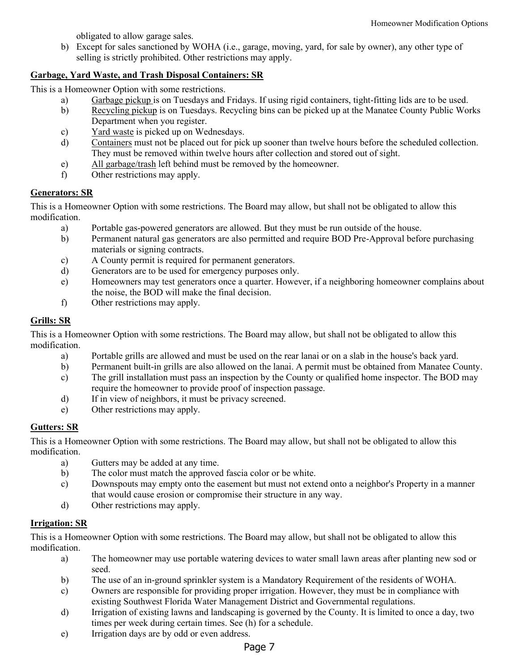obligated to allow garage sales.

b) Except for sales sanctioned by WOHA (i.e., garage, moving, yard, for sale by owner), any other type of selling is strictly prohibited. Other restrictions may apply.

# <span id="page-6-0"></span>**Garbage, Yard Waste, and Trash Disposal Containers: SR**

This is a Homeowner Option with some restrictions.

- a) Garbage pickup is on Tuesdays and Fridays. If using rigid containers, tight-fitting lids are to be used.
- b) Recycling pickup is on Tuesdays. Recycling bins can be picked up at the Manatee County Public Works Department when you register.
- c) Yard waste is picked up on Wednesdays.
- d) Containers must not be placed out for pick up sooner than twelve hours before the scheduled collection. They must be removed within twelve hours after collection and stored out of sight.
- e) All garbage/trash left behind must be removed by the homeowner.
- f) Other restrictions may apply.

### <span id="page-6-1"></span>**Generators: SR**

This is a Homeowner Option with some restrictions. The Board may allow, but shall not be obligated to allow this modification.

- a) Portable gas-powered generators are allowed. But they must be run outside of the house.
- b) Permanent natural gas generators are also permitted and require BOD Pre-Approval before purchasing materials or signing contracts.
- c) A County permit is required for permanent generators.
- d) Generators are to be used for emergency purposes only.
- e) Homeowners may test generators once a quarter. However, if a neighboring homeowner complains about the noise, the BOD will make the final decision.
- f) Other restrictions may apply.

# <span id="page-6-2"></span>**Grills: SR**

This is a Homeowner Option with some restrictions. The Board may allow, but shall not be obligated to allow this modification.

- a) Portable grills are allowed and must be used on the rear lanai or on a slab in the house's back yard.
- b) Permanent built-in grills are also allowed on the lanai. A permit must be obtained from Manatee County.
- c) The grill installation must pass an inspection by the County or qualified home inspector. The BOD may require the homeowner to provide proof of inspection passage.
- d) If in view of neighbors, it must be privacy screened.
- e) Other restrictions may apply.

# <span id="page-6-3"></span>**Gutters: SR**

This is a Homeowner Option with some restrictions. The Board may allow, but shall not be obligated to allow this modification.

- a) Gutters may be added at any time.
- b) The color must match the approved fascia color or be white.
- c) Downspouts may empty onto the easement but must not extend onto a neighbor's Property in a manner that would cause erosion or compromise their structure in any way.
- d) Other restrictions may apply.

# <span id="page-6-4"></span>**Irrigation: SR**

- a) The homeowner may use portable watering devices to water small lawn areas after planting new sod or seed.
- b) The use of an in-ground sprinkler system is a Mandatory Requirement of the residents of WOHA.
- c) Owners are responsible for providing proper irrigation. However, they must be in compliance with existing Southwest Florida Water Management District and Governmental regulations.
- d) Irrigation of existing lawns and landscaping is governed by the County. It is limited to once a day, two times per week during certain times. See (h) for a schedule.
- e) Irrigation days are by odd or even address.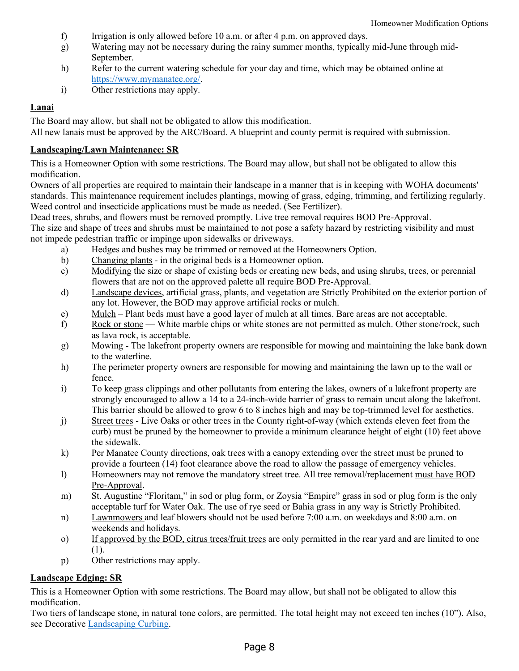- f) Irrigation is only allowed before 10 a.m. or after 4 p.m. on approved days.
- g) Watering may not be necessary during the rainy summer months, typically mid-June through mid-September.
- h) Refer to the current watering schedule for your day and time, which may be obtained online at [https://www.mymanatee.org/.](https://www.mymanatee.org/)
- i) Other restrictions may apply.

# <span id="page-7-0"></span>**Lanai**

The Board may allow, but shall not be obligated to allow this modification.

All new lanais must be approved by the ARC/Board. A blueprint and county permit is required with submission.

# <span id="page-7-1"></span>**Landscaping/Lawn Maintenance: SR**

This is a Homeowner Option with some restrictions. The Board may allow, but shall not be obligated to allow this modification.

Owners of all properties are required to maintain their landscape in a manner that is in keeping with WOHA documents' standards. This maintenance requirement includes plantings, mowing of grass, edging, trimming, and fertilizing regularly. Weed control and insecticide applications must be made as needed. (See Fertilizer).

Dead trees, shrubs, and flowers must be removed promptly. Live tree removal requires BOD Pre-Approval.

The size and shape of trees and shrubs must be maintained to not pose a safety hazard by restricting visibility and must not impede pedestrian traffic or impinge upon sidewalks or driveways.

- a) Hedges and bushes may be trimmed or removed at the Homeowners Option.
- b) Changing plants in the original beds is a Homeowner option.
- c) Modifying the size or shape of existing beds or creating new beds, and using shrubs, trees, or perennial flowers that are not on the approved palette all require BOD Pre-Approval.
- d) Landscape devices, artificial grass, plants, and vegetation are Strictly Prohibited on the exterior portion of any lot. However, the BOD may approve artificial rocks or mulch.
- e) Mulch Plant beds must have a good layer of mulch at all times. Bare areas are not acceptable.
- f) Rock or stone White marble chips or white stones are not permitted as mulch. Other stone/rock, such as lava rock, is acceptable.
- g) Mowing The lakefront property owners are responsible for mowing and maintaining the lake bank down to the waterline.
- h) The perimeter property owners are responsible for mowing and maintaining the lawn up to the wall or fence.
- i) To keep grass clippings and other pollutants from entering the lakes, owners of a lakefront property are strongly encouraged to allow a 14 to a 24-inch-wide barrier of grass to remain uncut along the lakefront. This barrier should be allowed to grow 6 to 8 inches high and may be top-trimmed level for aesthetics.
- j) Street trees Live Oaks or other trees in the County right-of-way (which extends eleven feet from the curb) must be pruned by the homeowner to provide a minimum clearance height of eight (10) feet above the sidewalk.
- k) Per Manatee County directions, oak trees with a canopy extending over the street must be pruned to provide a fourteen (14) foot clearance above the road to allow the passage of emergency vehicles.
- l) Homeowners may not remove the mandatory street tree. All tree removal/replacement must have BOD Pre-Approval.
- m) St. Augustine "Floritam," in sod or plug form, or Zoysia "Empire" grass in sod or plug form is the only acceptable turf for Water Oak. The use of rye seed or Bahia grass in any way is Strictly Prohibited.
- n) Lawnmowers and leaf blowers should not be used before 7:00 a.m. on weekdays and 8:00 a.m. on weekends and holidays.
- o) If approved by the BOD, citrus trees/fruit trees are only permitted in the rear yard and are limited to one (1).
- p) Other restrictions may apply.

# <span id="page-7-2"></span>**Landscape Edging: SR**

This is a Homeowner Option with some restrictions. The Board may allow, but shall not be obligated to allow this modification.

Two tiers of landscape stone, in natural tone colors, are permitted. The total height may not exceed ten inches (10"). Also, see Decorative [Landscaping Curbing.](#page-3-6)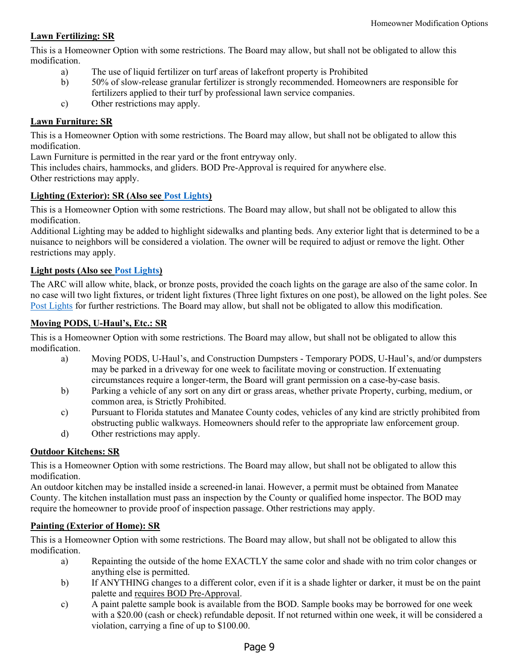# <span id="page-8-0"></span>**Lawn Fertilizing: SR**

This is a Homeowner Option with some restrictions. The Board may allow, but shall not be obligated to allow this modification.

- <span id="page-8-7"></span>a) The use of liquid fertilizer on turf areas of lakefront property is Prohibited
- b) 50% of slow-release granular fertilizer is strongly recommended. Homeowners are responsible for fertilizers applied to their turf by professional lawn service companies.
- c) Other restrictions may apply.

# <span id="page-8-1"></span>**Lawn Furniture: SR**

This is a Homeowner Option with some restrictions. The Board may allow, but shall not be obligated to allow this modification.

Lawn Furniture is permitted in the rear yard or the front entryway only.

This includes chairs, hammocks, and gliders. BOD Pre-Approval is required for anywhere else. Other restrictions may apply.

# <span id="page-8-2"></span>**Lighting (Exterior): SR (Also see [Post Lights\)](#page-10-6)**

<span id="page-8-8"></span>This is a Homeowner Option with some restrictions. The Board may allow, but shall not be obligated to allow this modification.

Additional Lighting may be added to highlight sidewalks and planting beds. Any exterior light that is determined to be a nuisance to neighbors will be considered a violation. The owner will be required to adjust or remove the light. Other restrictions may apply.

# <span id="page-8-3"></span>**Light posts (Also see [Post Lights\)](#page-10-6)**

The ARC will allow white, black, or bronze posts, provided the coach lights on the garage are also of the same color. In no case will two light fixtures, or trident light fixtures (Three light fixtures on one post), be allowed on the light poles. See [Post Lights](#page-10-6) for further restrictions. The Board may allow, but shall not be obligated to allow this modification.

# <span id="page-8-4"></span>**Moving PODS, U-Haul's, Etc.: SR**

This is a Homeowner Option with some restrictions. The Board may allow, but shall not be obligated to allow this modification.

- a) Moving PODS, U-Haul's, and Construction Dumpsters Temporary PODS, U-Haul's, and/or dumpsters may be parked in a driveway for one week to facilitate moving or construction. If extenuating circumstances require a longer-term, the Board will grant permission on a case-by-case basis.
- b) Parking a vehicle of any sort on any dirt or grass areas, whether private Property, curbing, medium, or common area, is Strictly Prohibited.
- c) Pursuant to Florida statutes and Manatee County codes, vehicles of any kind are strictly prohibited from obstructing public walkways. Homeowners should refer to the appropriate law enforcement group.
- d) Other restrictions may apply.

# <span id="page-8-5"></span>**Outdoor Kitchens: SR**

This is a Homeowner Option with some restrictions. The Board may allow, but shall not be obligated to allow this modification.

An outdoor kitchen may be installed inside a screened-in lanai. However, a permit must be obtained from Manatee County. The kitchen installation must pass an inspection by the County or qualified home inspector. The BOD may require the homeowner to provide proof of inspection passage. Other restrictions may apply.

# <span id="page-8-6"></span>**Painting (Exterior of Home): SR**

- a) Repainting the outside of the home EXACTLY the same color and shade with no trim color changes or anything else is permitted.
- b) If ANYTHING changes to a different color, even if it is a shade lighter or darker, it must be on the paint palette and requires BOD Pre-Approval.
- c) A paint palette sample book is available from the BOD. Sample books may be borrowed for one week with a \$20.00 (cash or check) refundable deposit. If not returned within one week, it will be considered a violation, carrying a fine of up to \$100.00.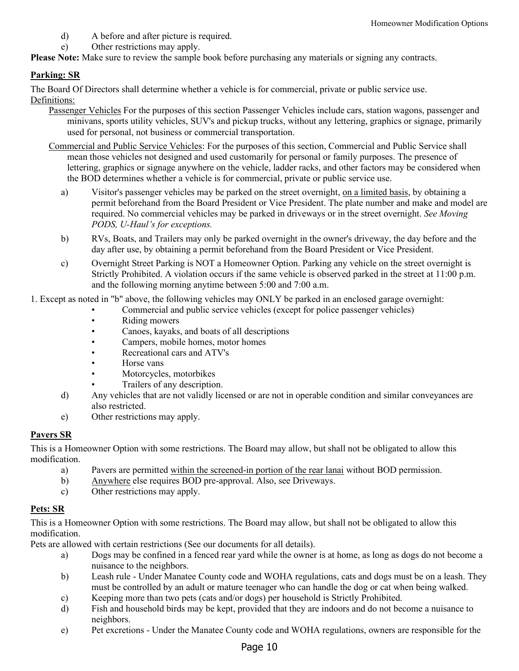- d) A before and after picture is required.
- e) Other restrictions may apply.

**Please Note:** Make sure to review the sample book before purchasing any materials or signing any contracts.

# <span id="page-9-0"></span>**Parking: SR**

<span id="page-9-1"></span>The Board Of Directors shall determine whether a vehicle is for commercial, private or public service use. Definitions:

- Passenger Vehicles For the purposes of this section Passenger Vehicles include cars, station wagons, passenger and minivans, sports utility vehicles, SUV's and pickup trucks, without any lettering, graphics or signage, primarily used for personal, not business or commercial transportation.
- Commercial and Public Service Vehicles: For the purposes of this section, Commercial and Public Service shall mean those vehicles not designed and used customarily for personal or family purposes. The presence of lettering, graphics or signage anywhere on the vehicle, ladder racks, and other factors may be considered when the BOD determines whether a vehicle is for commercial, private or public service use.
	- a) Visitor's passenger vehicles may be parked on the street overnight, on a limited basis, by obtaining a permit beforehand from the Board President or Vice President. The plate number and make and model are required. No commercial vehicles may be parked in driveways or in the street overnight. *See Moving PODS, U-Haul's for exceptions.*
	- b) RVs, Boats, and Trailers may only be parked overnight in the owner's driveway, the day before and the day after use, by obtaining a permit beforehand from the Board President or Vice President.
	- c) Overnight Street Parking is NOT a Homeowner Option. Parking any vehicle on the street overnight is Strictly Prohibited. A violation occurs if the same vehicle is observed parked in the street at 11:00 p.m. and the following morning anytime between 5:00 and 7:00 a.m.

1. Except as noted in "b" above, the following vehicles may ONLY be parked in an enclosed garage overnight:

- Commercial and public service vehicles (except for police passenger vehicles)
- Riding mowers
- Canoes, kayaks, and boats of all descriptions
- Campers, mobile homes, motor homes
- Recreational cars and ATV's
- Horse vans
- Motorcycles, motorbikes
- Trailers of any description.
- d) Any vehicles that are not validly licensed or are not in operable condition and similar conveyances are also restricted.
- e) Other restrictions may apply.

# **Pavers SR**

This is a Homeowner Option with some restrictions. The Board may allow, but shall not be obligated to allow this modification.

- a) Pavers are permitted within the screened-in portion of the rear lanai without BOD permission.
- b) Anywhere else requires BOD pre-approval. Also, see Driveways.
- c) Other restrictions may apply.

# <span id="page-9-2"></span>**Pets: SR**

This is a Homeowner Option with some restrictions. The Board may allow, but shall not be obligated to allow this modification.

Pets are allowed with certain restrictions (See our documents for all details).

- a) Dogs may be confined in a fenced rear yard while the owner is at home, as long as dogs do not become a nuisance to the neighbors.
- b) Leash rule Under Manatee County code and WOHA regulations, cats and dogs must be on a leash. They must be controlled by an adult or mature teenager who can handle the dog or cat when being walked.
- c) Keeping more than two pets (cats and/or dogs) per household is Strictly Prohibited.
- d) Fish and household birds may be kept, provided that they are indoors and do not become a nuisance to neighbors.
- e) Pet excretions Under the Manatee County code and WOHA regulations, owners are responsible for the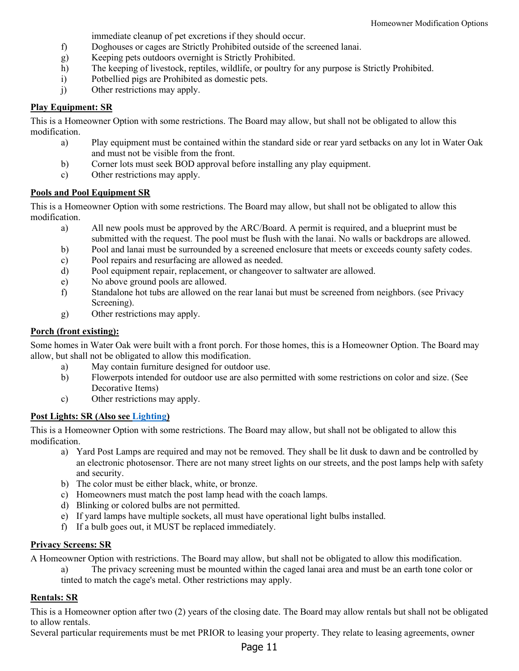immediate cleanup of pet excretions if they should occur.

- f) Doghouses or cages are Strictly Prohibited outside of the screened lanai.
- g) Keeping pets outdoors overnight is Strictly Prohibited.
- h) The keeping of livestock, reptiles, wildlife, or poultry for any purpose is Strictly Prohibited.
- i) Potbellied pigs are Prohibited as domestic pets.
- j) Other restrictions may apply.

### <span id="page-10-0"></span>**Play Equipment: SR**

This is a Homeowner Option with some restrictions. The Board may allow, but shall not be obligated to allow this modification.

- a) Play equipment must be contained within the standard side or rear yard setbacks on any lot in Water Oak and must not be visible from the front.
- b) Corner lots must seek BOD approval before installing any play equipment.
- c) Other restrictions may apply.

### <span id="page-10-1"></span>**Pools and Pool Equipment SR**

This is a Homeowner Option with some restrictions. The Board may allow, but shall not be obligated to allow this modification.

- a) All new pools must be approved by the ARC/Board. A permit is required, and a blueprint must be submitted with the request. The pool must be flush with the lanai. No walls or backdrops are allowed.
- b) Pool and lanai must be surrounded by a screened enclosure that meets or exceeds county safety codes.
- c) Pool repairs and resurfacing are allowed as needed.
- d) Pool equipment repair, replacement, or changeover to saltwater are allowed.
- e) No above ground pools are allowed.
- f) Standalone hot tubs are allowed on the rear lanai but must be screened from neighbors. (see Privacy Screening).
- g) Other restrictions may apply.

### <span id="page-10-2"></span>**Porch (front existing):**

Some homes in Water Oak were built with a front porch. For those homes, this is a Homeowner Option. The Board may allow, but shall not be obligated to allow this modification.

- a) May contain furniture designed for outdoor use.
- b) Flowerpots intended for outdoor use are also permitted with some restrictions on color and size. (See Decorative Items)
- <span id="page-10-6"></span>c) Other restrictions may apply.

# <span id="page-10-3"></span>**Post Lights: SR (Also see [Lighting\)](#page-8-8)**

This is a Homeowner Option with some restrictions. The Board may allow, but shall not be obligated to allow this modification.

- a) Yard Post Lamps are required and may not be removed. They shall be lit dusk to dawn and be controlled by an electronic photosensor. There are not many street lights on our streets, and the post lamps help with safety and security.
- b) The color must be either black, white, or bronze.
- c) Homeowners must match the post lamp head with the coach lamps.
- d) Blinking or colored bulbs are not permitted.
- e) If yard lamps have multiple sockets, all must have operational light bulbs installed.
- f) If a bulb goes out, it MUST be replaced immediately.

#### <span id="page-10-4"></span>**Privacy Screens: SR**

A Homeowner Option with restrictions. The Board may allow, but shall not be obligated to allow this modification.

a) The privacy screening must be mounted within the caged lanai area and must be an earth tone color or tinted to match the cage's metal. Other restrictions may apply.

#### <span id="page-10-5"></span>**Rentals: SR**

This is a Homeowner option after two (2) years of the closing date. The Board may allow rentals but shall not be obligated to allow rentals.

Several particular requirements must be met PRIOR to leasing your property. They relate to leasing agreements, owner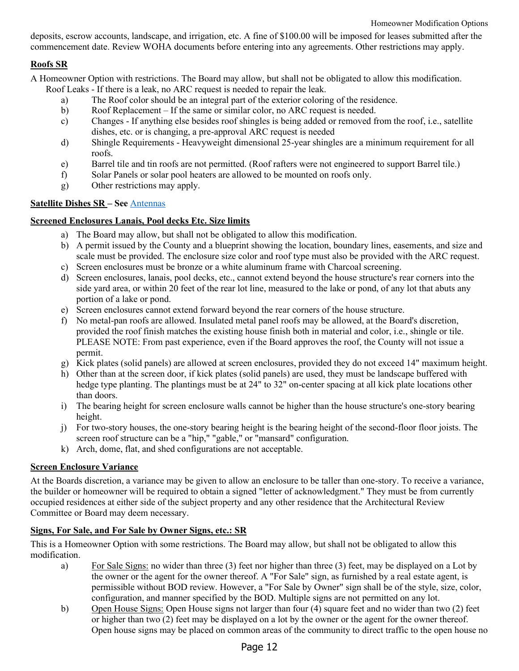deposits, escrow accounts, landscape, and irrigation, etc. A fine of \$100.00 will be imposed for leases submitted after the commencement date. Review WOHA documents before entering into any agreements. Other restrictions may apply.

# <span id="page-11-0"></span>**Roofs SR**

A Homeowner Option with restrictions. The Board may allow, but shall not be obligated to allow this modification.

- Roof Leaks If there is a leak, no ARC request is needed to repair the leak.
	- a) The Roof color should be an integral part of the exterior coloring of the residence.
	- b) Roof Replacement If the same or similar color, no ARC request is needed.
	- c) Changes If anything else besides roof shingles is being added or removed from the roof, i.e., satellite dishes, etc. or is changing, a pre-approval ARC request is needed
	- d) Shingle Requirements Heavyweight dimensional 25-year shingles are a minimum requirement for all roofs.
	- e) Barrel tile and tin roofs are not permitted. (Roof rafters were not engineered to support Barrel tile.)
	- f) Solar Panels or solar pool heaters are allowed to be mounted on roofs only.
	- g) Other restrictions may apply.

# <span id="page-11-1"></span>**Satellite Dishes SR – See** [Antennas](#page-2-5)

# <span id="page-11-2"></span>**Screened Enclosures Lanais, Pool decks Etc. Size limits**

- a) The Board may allow, but shall not be obligated to allow this modification.
- b) A permit issued by the County and a blueprint showing the location, boundary lines, easements, and size and scale must be provided. The enclosure size color and roof type must also be provided with the ARC request.
- c) Screen enclosures must be bronze or a white aluminum frame with Charcoal screening.
- d) Screen enclosures, lanais, pool decks, etc., cannot extend beyond the house structure's rear corners into the side yard area, or within 20 feet of the rear lot line, measured to the lake or pond, of any lot that abuts any portion of a lake or pond.
- e) Screen enclosures cannot extend forward beyond the rear corners of the house structure.
- f) No metal-pan roofs are allowed. Insulated metal panel roofs may be allowed, at the Board's discretion, provided the roof finish matches the existing house finish both in material and color, i.e., shingle or tile. PLEASE NOTE: From past experience, even if the Board approves the roof, the County will not issue a permit.
- g) Kick plates (solid panels) are allowed at screen enclosures, provided they do not exceed 14" maximum height.
- h) Other than at the screen door, if kick plates (solid panels) are used, they must be landscape buffered with hedge type planting. The plantings must be at 24" to 32" on-center spacing at all kick plate locations other than doors.
- i) The bearing height for screen enclosure walls cannot be higher than the house structure's one-story bearing height.
- j) For two-story houses, the one-story bearing height is the bearing height of the second-floor floor joists. The screen roof structure can be a "hip," "gable," or "mansard" configuration.
- k) Arch, dome, flat, and shed configurations are not acceptable.

# <span id="page-11-3"></span>**Screen Enclosure Variance**

At the Boards discretion, a variance may be given to allow an enclosure to be taller than one-story. To receive a variance, the builder or homeowner will be required to obtain a signed "letter of acknowledgment." They must be from currently occupied residences at either side of the subject property and any other residence that the Architectural Review Committee or Board may deem necessary.

# <span id="page-11-4"></span>**Signs, For Sale, and For Sale by Owner Signs, etc.: SR**

- a) For Sale Signs: no wider than three (3) feet nor higher than three (3) feet, may be displayed on a Lot by the owner or the agent for the owner thereof. A "For Sale" sign, as furnished by a real estate agent, is permissible without BOD review. However, a "For Sale by Owner" sign shall be of the style, size, color, configuration, and manner specified by the BOD. Multiple signs are not permitted on any lot.
- b) Open House Signs: Open House signs not larger than four (4) square feet and no wider than two (2) feet or higher than two (2) feet may be displayed on a lot by the owner or the agent for the owner thereof. Open house signs may be placed on common areas of the community to direct traffic to the open house no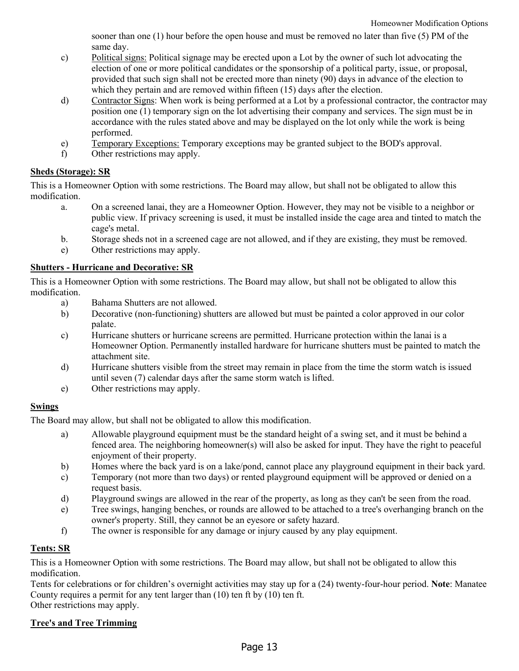sooner than one (1) hour before the open house and must be removed no later than five (5) PM of the same day.

- c) Political signs: Political signage may be erected upon a Lot by the owner of such lot advocating the election of one or more political candidates or the sponsorship of a political party, issue, or proposal, provided that such sign shall not be erected more than ninety (90) days in advance of the election to which they pertain and are removed within fifteen (15) days after the election.
- d) Contractor Signs: When work is being performed at a Lot by a professional contractor, the contractor may position one (1) temporary sign on the lot advertising their company and services. The sign must be in accordance with the rules stated above and may be displayed on the lot only while the work is being performed.
- e) Temporary Exceptions: Temporary exceptions may be granted subject to the BOD's approval.
- f) Other restrictions may apply.

### <span id="page-12-0"></span>**Sheds (Storage): SR**

This is a Homeowner Option with some restrictions. The Board may allow, but shall not be obligated to allow this modification.

- a. On a screened lanai, they are a Homeowner Option. However, they may not be visible to a neighbor or public view. If privacy screening is used, it must be installed inside the cage area and tinted to match the cage's metal.
- b. Storage sheds not in a screened cage are not allowed, and if they are existing, they must be removed.
- e) Other restrictions may apply.

### <span id="page-12-1"></span>**Shutters - Hurricane and Decorative: SR**

This is a Homeowner Option with some restrictions. The Board may allow, but shall not be obligated to allow this modification.

- a) Bahama Shutters are not allowed.
- b) Decorative (non-functioning) shutters are allowed but must be painted a color approved in our color palate.
- c) Hurricane shutters or hurricane screens are permitted. Hurricane protection within the lanai is a Homeowner Option. Permanently installed hardware for hurricane shutters must be painted to match the attachment site.
- d) Hurricane shutters visible from the street may remain in place from the time the storm watch is issued until seven (7) calendar days after the same storm watch is lifted.
- e) Other restrictions may apply.

# <span id="page-12-2"></span>**Swings**

The Board may allow, but shall not be obligated to allow this modification.

- a) Allowable playground equipment must be the standard height of a swing set, and it must be behind a fenced area. The neighboring homeowner(s) will also be asked for input. They have the right to peaceful enjoyment of their property.
- b) Homes where the back yard is on a lake/pond, cannot place any playground equipment in their back yard.
- c) Temporary (not more than two days) or rented playground equipment will be approved or denied on a request basis.
- d) Playground swings are allowed in the rear of the property, as long as they can't be seen from the road.
- e) Tree swings, hanging benches, or rounds are allowed to be attached to a tree's overhanging branch on the owner's property. Still, they cannot be an eyesore or safety hazard.
- f) The owner is responsible for any damage or injury caused by any play equipment.

# <span id="page-12-3"></span>**Tents: SR**

This is a Homeowner Option with some restrictions. The Board may allow, but shall not be obligated to allow this modification.

Tents for celebrations or for children's overnight activities may stay up for a (24) twenty-four-hour period. **Note**: Manatee County requires a permit for any tent larger than (10) ten ft by (10) ten ft. Other restrictions may apply.

# <span id="page-12-4"></span>**Tree's and Tree Trimming**